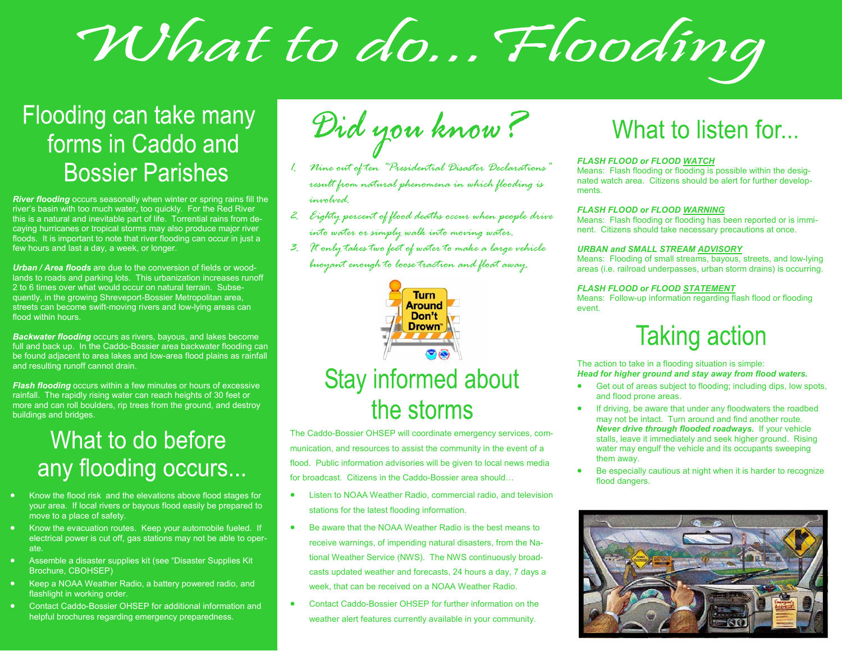# What to do... Flooding

### Flooding can take many forms in Caddo and **Bossier Parishes**

*River flooding* occurs seasonally when winter or spring rains fill the river's basin with too much water, too quickly. For the Red River this is a natural and inevitable part of life. Torrential rains from decaying hurricanes or tropical storms may also produce major river floods. It is important to note that river flooding can occur in just a few hours and last a day, a week, or longer.

*Urban / Area floods* are due to the conversion of fields or woodlands to roads and parking lots. This urbanization increases runoff 2 to 6 times over what would occur on natural terrain. Subsequently, in the growing Shreveport-Bossier Metropolitan area, streets can become swift-moving rivers and low-lying areas can flood within hours.

*Backwater flooding* occurs as rivers, bayous, and lakes become full and back up. In the Caddo-Bossier area backwater flooding can be found adjacent to area lakes and low-area flood plains as rainfall and resulting runoff cannot drain.

*Flash flooding* occurs within a few minutes or hours of excessive rainfall. The rapidly rising water can reach heights of 30 feet or more and can roll boulders, rip trees from the ground, and destroy buildings and bridges.

### What to do before any flooding occurs...

- Know the flood risk and the elevations above flood stages for your area. If local rivers or bayous flood easily be prepared to move to a place of safety.
- Know the evacuation routes. Keep your automobile fueled. If electrical power is cut off, gas stations may not be able to operate.
- Assemble a disaster supplies kit (see "Disaster Supplies Kit Brochure, CBOHSEP)
- Keep a NOAA Weather Radio, a battery powered radio, and flashlight in working order.
- Contact Caddo-Bossier OHSEP for additional information and helpful brochures regarding emergency preparedness.

Did you know?

- *1. Nine out of ten "Presidential Disaster Declarations" result from natural phenomena in which flooding is involved.*
- *2. Eighty percent of flood deaths occur when people drive into water or simply walk into moving water.*
- *3. It only takes two feet of water to make a large vehicle buoyant enough to loose traction and float away.*



#### **Stay informed about** the storms

The Caddo-Bossier OHSEP will coordinate emergency services, communication, and resources to assist the community in the event of a flood. Public information advisories will be given to local news media for broadcast. Citizens in the Caddo-Bossier area should…

- Listen to NOAA Weather Radio, commercial radio, and television stations for the latest flooding information.
- Be aware that the NOAA Weather Radio is the best means to receive warnings, of impending natural disasters, from the National Weather Service (NWS). The NWS continuously broadcasts updated weather and forecasts, 24 hours a day, 7 days a week, that can be received on a NOAA Weather Radio.
- Contact Caddo-Bossier OHSEP for further information on the weather alert features currently available in your community.

### What to listen for...

#### *FLASH FLOOD or FLOOD WATCH*

Means: Flash flooding or flooding is possible within the designated watch area. Citizens should be alert for further developments.

#### *FLASH FLOOD or FLOOD WARNING*

Means: Flash flooding or flooding has been reported or is imminent. Citizens should take necessary precautions at once.

#### *URBAN and SMALL STREAM ADVISORY*

Means: Flooding of small streams, bayous, streets, and low-lying areas (i.e. railroad underpasses, urban storm drains) is occurring.

#### *FLASH FLOOD or FLOOD STATEMENT*

Means: Follow-up information regarding flash flood or flooding event.

### **Taking action**

The action to take in a flooding situation is simple: *Head for higher ground and stay away from flood waters.*

- Get out of areas subiect to flooding: including dips, low spots, and flood prone areas.
- If driving, be aware that under any floodwaters the roadbed may not be intact. Turn around and find another route. *Never drive through flooded roadways.* If your vehicle stalls, leave it immediately and seek higher ground. Rising water may engulf the vehicle and its occupants sweeping them away.
- Be especially cautious at night when it is harder to recognize flood dangers.